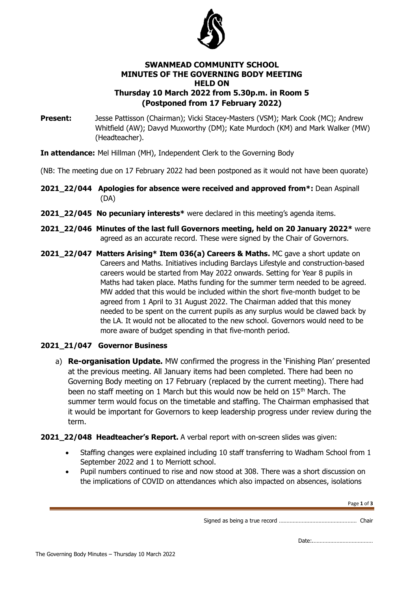

## **SWANMEAD COMMUNITY SCHOOL MINUTES OF THE GOVERNING BODY MEETING HELD ON Thursday 10 March 2022 from 5.30p.m. in Room 5 (Postponed from 17 February 2022)**

**Present:** Jesse Pattisson (Chairman); Vicki Stacey-Masters (VSM); Mark Cook (MC); Andrew Whitfield (AW); Davyd Muxworthy (DM); Kate Murdoch (KM) and Mark Walker (MW) (Headteacher).

**In attendance:** Mel Hillman (MH), Independent Clerk to the Governing Body

- (NB: The meeting due on 17 February 2022 had been postponed as it would not have been quorate)
- **2021\_22/044 Apologies for absence were received and approved from\*:** Dean Aspinall (DA)
- **2021 22/045 No pecuniary interests\*** were declared in this meeting's agenda items.
- **2021\_22/046 Minutes of the last full Governors meeting, held on 20 January 2022\*** were agreed as an accurate record. These were signed by the Chair of Governors.
- **2021\_22/047 Matters Arising\* Item 036(a) Careers & Maths.** MC gave a short update on Careers and Maths. Initiatives including Barclays Lifestyle and construction-based careers would be started from May 2022 onwards. Setting for Year 8 pupils in Maths had taken place. Maths funding for the summer term needed to be agreed. MW added that this would be included within the short five-month budget to be agreed from 1 April to 31 August 2022. The Chairman added that this money needed to be spent on the current pupils as any surplus would be clawed back by the LA. It would not be allocated to the new school. Governors would need to be more aware of budget spending in that five-month period.

# **2021\_21/047 Governor Business**

- a) **Re-organisation Update.** MW confirmed the progress in the 'Finishing Plan' presented at the previous meeting. All January items had been completed. There had been no Governing Body meeting on 17 February (replaced by the current meeting). There had been no staff meeting on 1 March but this would now be held on  $15<sup>th</sup>$  March. The summer term would focus on the timetable and staffing. The Chairman emphasised that it would be important for Governors to keep leadership progress under review during the term.
- **2021 22/048 Headteacher's Report.** A verbal report with on-screen slides was given:
	- Staffing changes were explained including 10 staff transferring to Wadham School from 1 September 2022 and 1 to Merriott school.
	- Pupil numbers continued to rise and now stood at 308. There was a short discussion on the implications of COVID on attendances which also impacted on absences, isolations

Page **1** of **3**

Signed as being a true record …………………………………………… Chair

Date:.…………………………………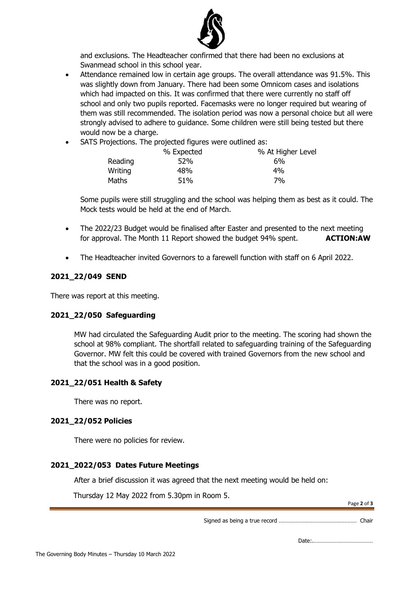

and exclusions. The Headteacher confirmed that there had been no exclusions at Swanmead school in this school year.

- Attendance remained low in certain age groups. The overall attendance was 91.5%. This was slightly down from January. There had been some Omnicom cases and isolations which had impacted on this. It was confirmed that there were currently no staff off school and only two pupils reported. Facemasks were no longer required but wearing of them was still recommended. The isolation period was now a personal choice but all were strongly advised to adhere to guidance. Some children were still being tested but there would now be a charge.
- SATS Projections. The projected figures were outlined as:

|         | % Expected | % At Higher Level |
|---------|------------|-------------------|
| Reading | 52%        | 6%                |
| Writing | 48%        | 4%                |
| Maths   | 51%        | 7%                |

Some pupils were still struggling and the school was helping them as best as it could. The Mock tests would be held at the end of March.

- The 2022/23 Budget would be finalised after Easter and presented to the next meeting for approval. The Month 11 Report showed the budget 94% spent. **ACTION:AW**
- The Headteacher invited Governors to a farewell function with staff on 6 April 2022.

### **2021\_22/049 SEND**

There was report at this meeting.

#### **2021\_22/050 Safeguarding**

MW had circulated the Safeguarding Audit prior to the meeting. The scoring had shown the school at 98% compliant. The shortfall related to safeguarding training of the Safeguarding Governor. MW felt this could be covered with trained Governors from the new school and that the school was in a good position.

#### **2021\_22/051 Health & Safety**

There was no report.

#### **2021\_22/052 Policies**

There were no policies for review.

#### **2021\_2022/053 Dates Future Meetings**

After a brief discussion it was agreed that the next meeting would be held on:

Thursday 12 May 2022 from 5.30pm in Room 5.

Page **2** of **3**

Signed as being a true record …………………………………………… Chair

Date:.…………………………………